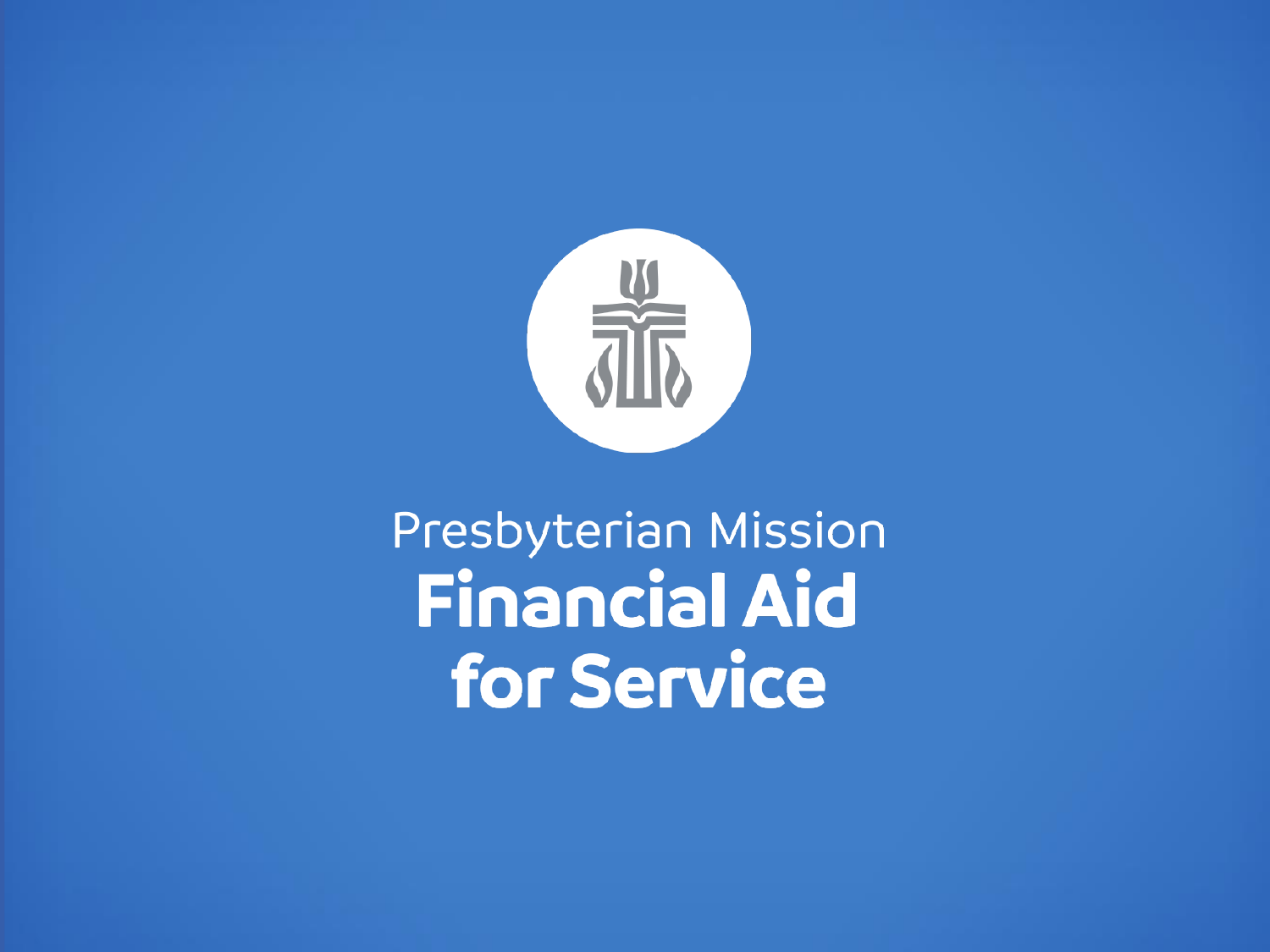

# Presbyterian Mission Financial Aid for Service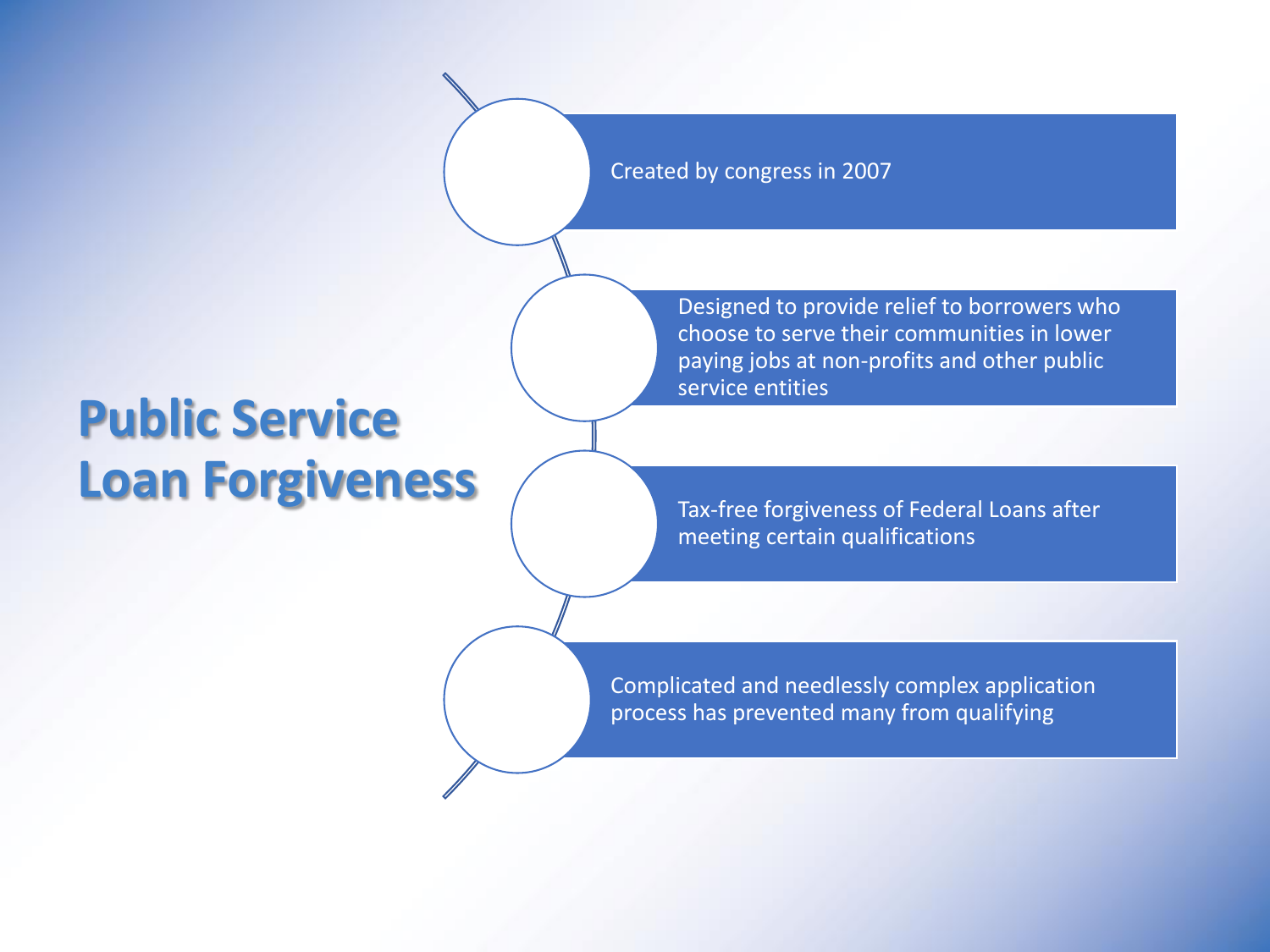Created by congress in 2007

## **Public Service Loan Forgiveness**

Designed to provide relief to borrowers who choose to serve their communities in lower paying jobs at non-profits and other public service entities

Tax-free forgiveness of Federal Loans after meeting certain qualifications

Complicated and needlessly complex application process has prevented many from qualifying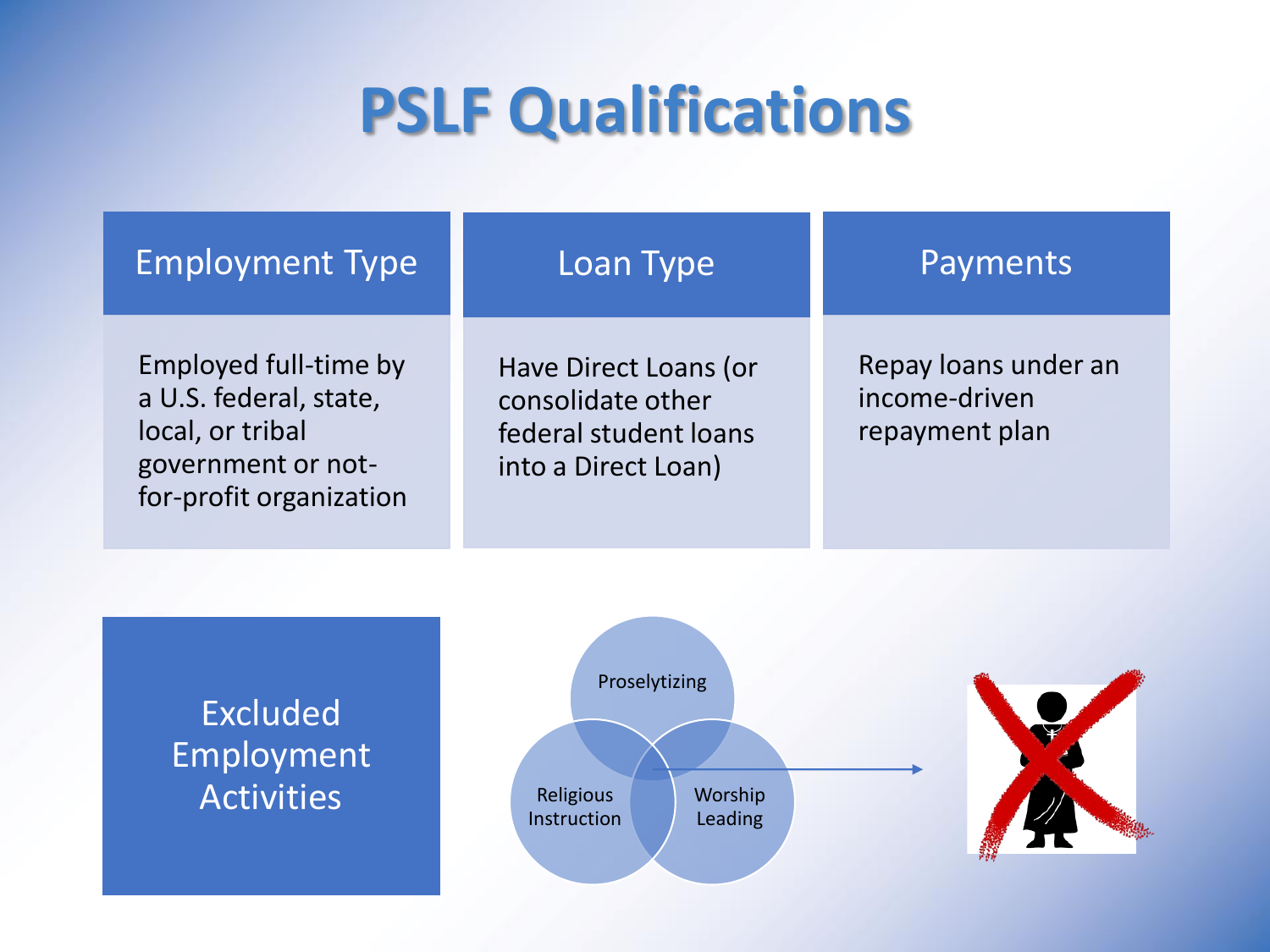# **PSLF Qualifications**

### Employment Type

### Loan Type

Employed full-time by a U.S. federal, state, local, or tribal government or notfor-profit organization

Have Direct Loans (or consolidate other federal student loans into a Direct Loan)

### Payments

Repay loans under an income-driven repayment plan

Excluded Employment **Activities** 



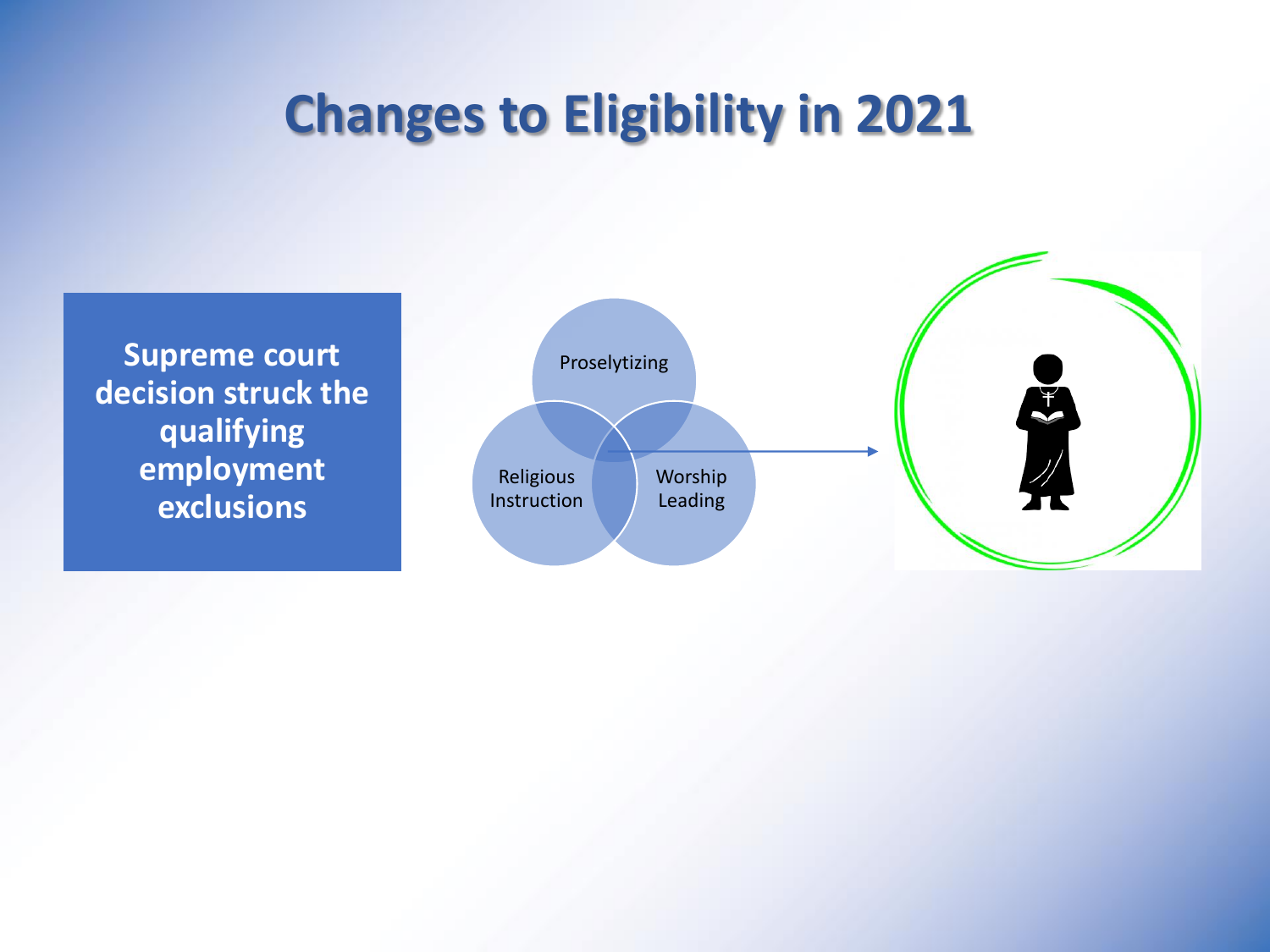## **Changes to Eligibility in 2021**

**Supreme court decision struck the qualifying employment exclusions**

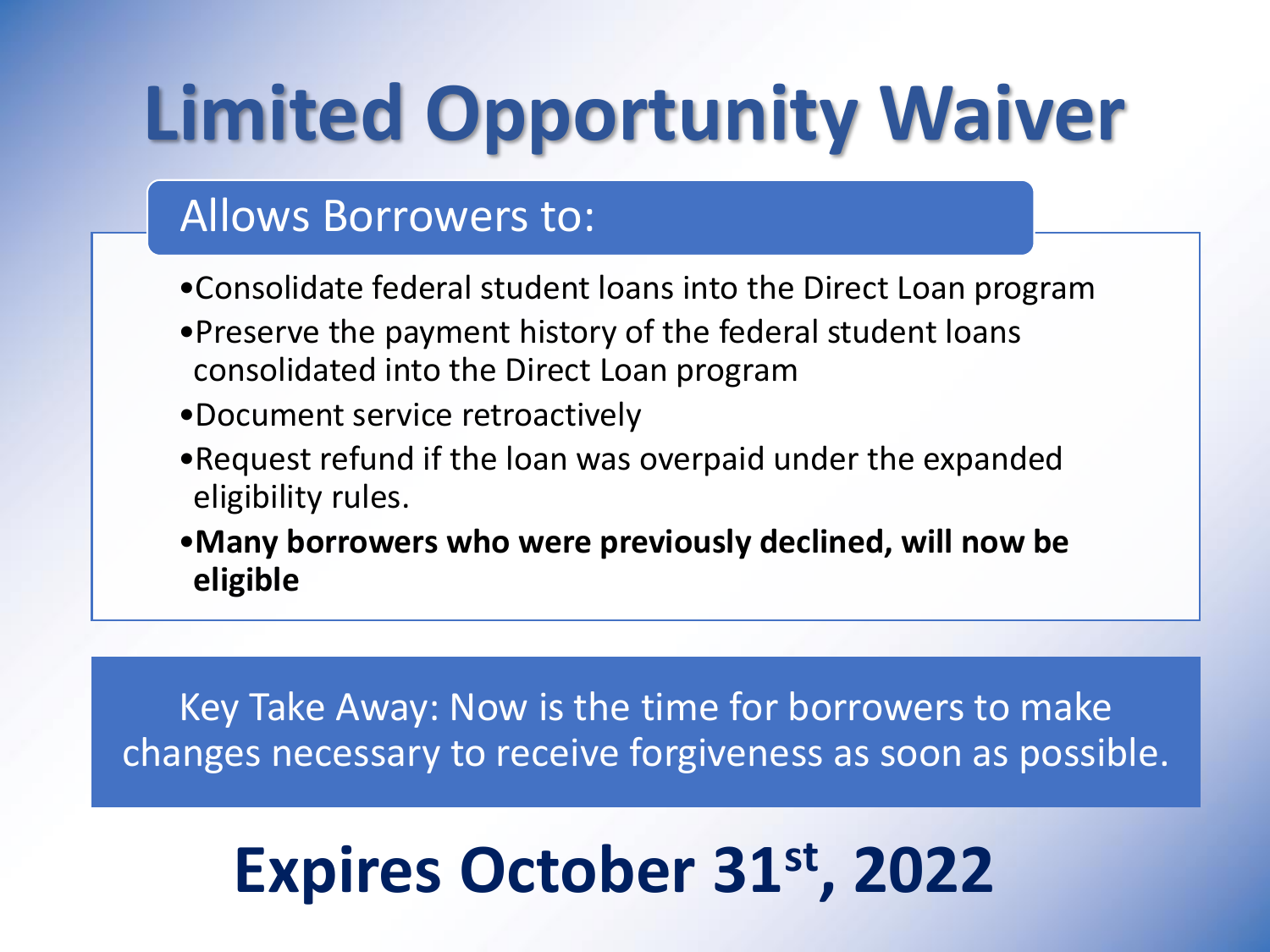# **Limited Opportunity Waiver**

## Allows Borrowers to:

- •Consolidate federal student loans into the Direct Loan program
- •Preserve the payment history of the federal student loans consolidated into the Direct Loan program
- •Document service retroactively
- •Request refund if the loan was overpaid under the expanded eligibility rules.
- •**Many borrowers who were previously declined, will now be eligible**

Key Take Away: Now is the time for borrowers to make changes necessary to receive forgiveness as soon as possible.

# **Expires October 31st, 2022**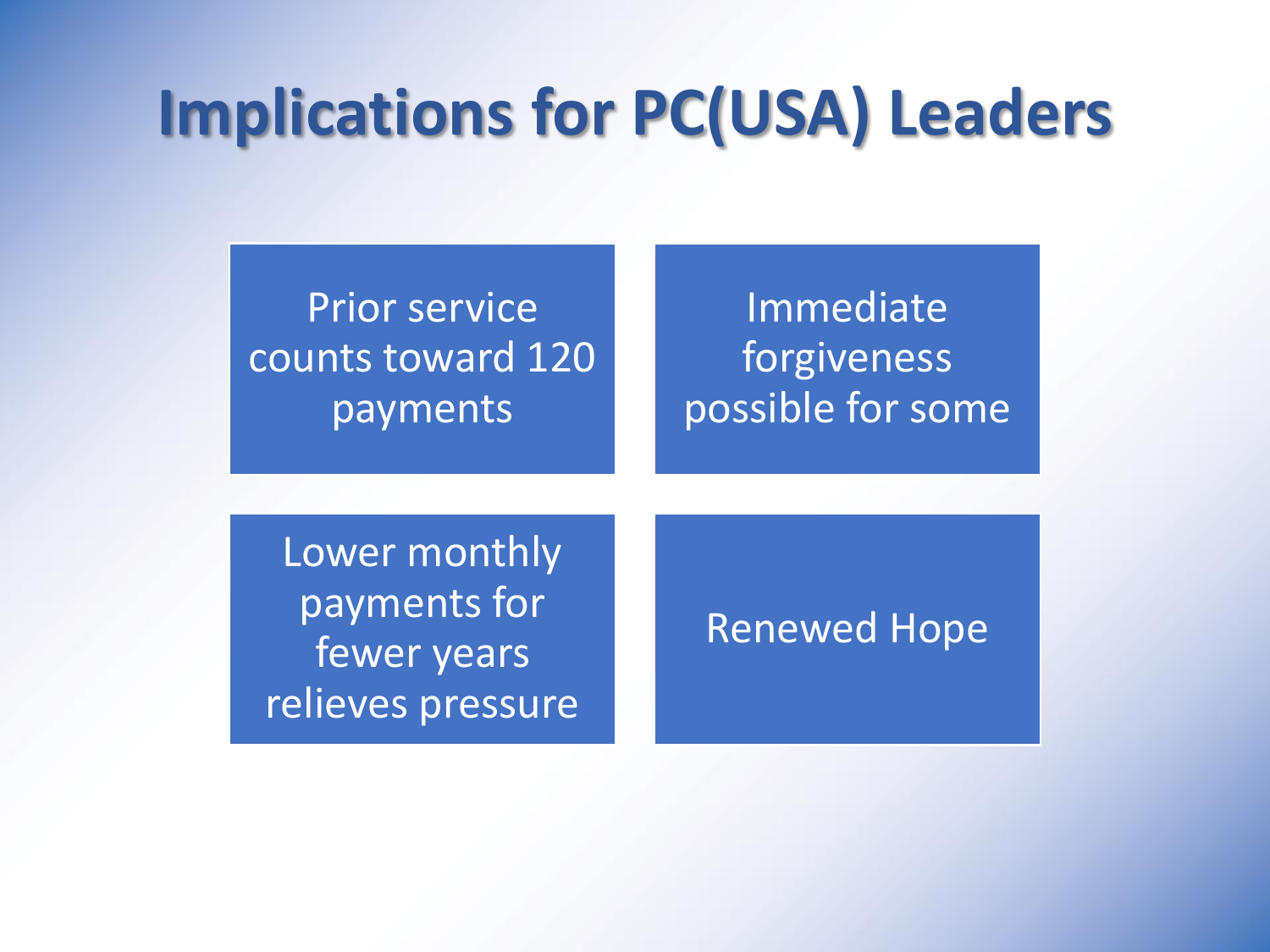## **Implications for PC(USA) Leaders**

## Prior service counts toward 120 payments

## Immediate forgiveness possible for some

Lower monthly payments for fewer years relieves pressure

### Renewed Hope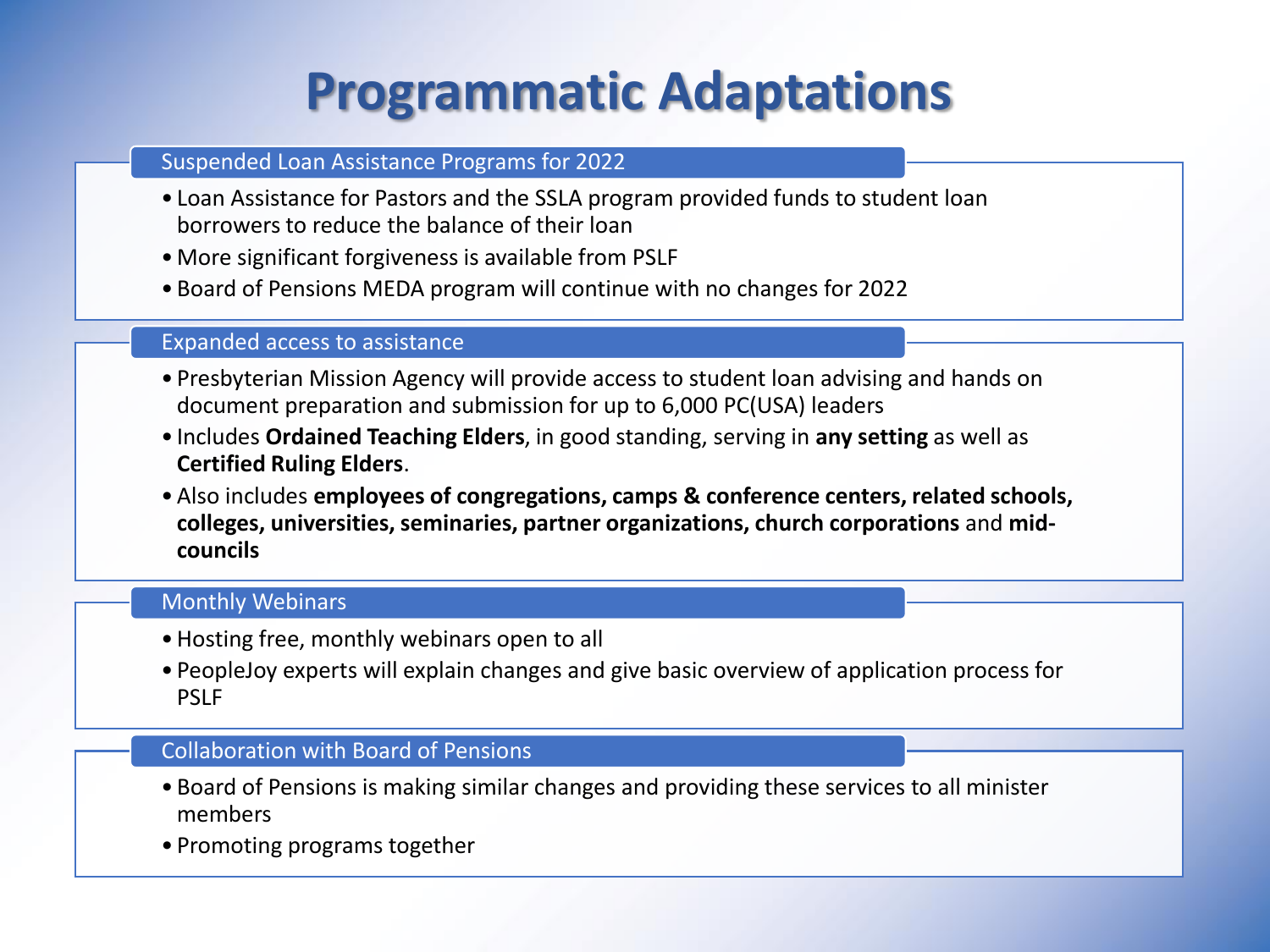## **Programmatic Adaptations**

#### Suspended Loan Assistance Programs for 2022

- Loan Assistance for Pastors and the SSLA program provided funds to student loan borrowers to reduce the balance of their loan
- More significant forgiveness is available from PSLF
- Board of Pensions MEDA program will continue with no changes for 2022

### Expanded access to assistance

- Presbyterian Mission Agency will provide access to student loan advising and hands on document preparation and submission for up to 6,000 PC(USA) leaders
- Includes **Ordained Teaching Elders**, in good standing, serving in **any setting** as well as **Certified Ruling Elders**.
- •Also includes **employees of congregations, camps & conference centers, related schools, colleges, universities, seminaries, partner organizations, church corporations** and **midcouncils**

#### Monthly Webinars

- •Hosting free, monthly webinars open to all
- PeopleJoy experts will explain changes and give basic overview of application process for PSLF

### Collaboration with Board of Pensions

- Board of Pensions is making similar changes and providing these services to all minister members
- Promoting programs together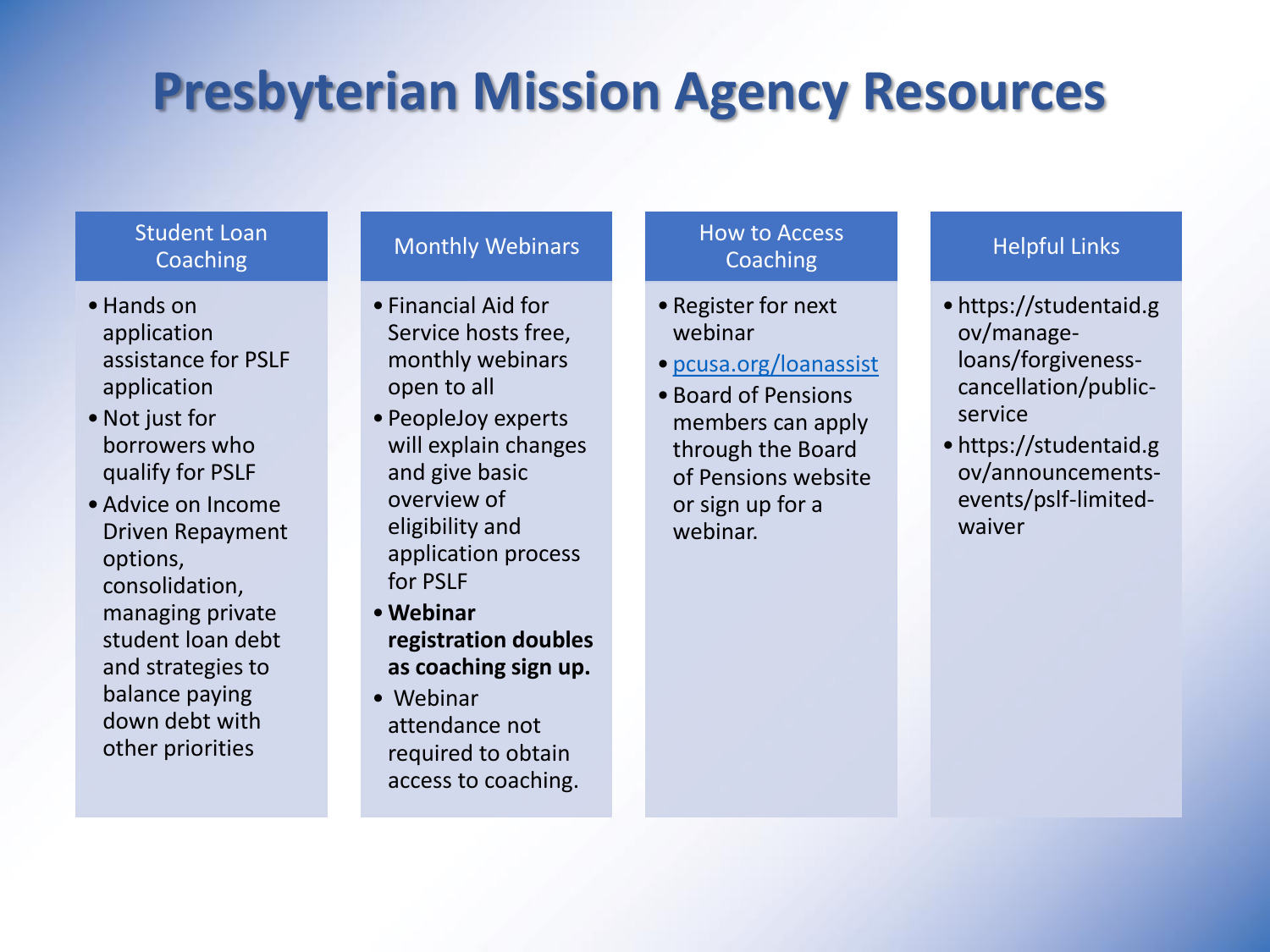## **Presbyterian Mission Agency Resources**

### Student Loan **Coaching**

- •Hands on application assistance for PSLF application
- •Not just for borrowers who qualify for PSLF
- •Advice on Income Driven Repayment options, consolidation, managing private student loan debt and strategies to balance paying down debt with other priorities

#### Monthly Webinars

- Financial Aid for Service hosts free, monthly webinars open to all
- PeopleJoy experts will explain changes and give basic overview of eligibility and application process for PSLF
- •**Webinar registration doubles as coaching sign up.**
- Webinar attendance not required to obtain access to coaching.

### How to Access Coaching

- Register for next webinar
- [pcusa.org/loanassist](http://www.pcusa.org/loanassist)
- Board of Pensions members can apply through the Board of Pensions website or sign up for a webinar.

### Helpful Links

- https://studentaid.g ov/manageloans/forgivenesscancellation/publicservice
- https://studentaid.g ov/announcementsevents/pslf-limitedwaiver